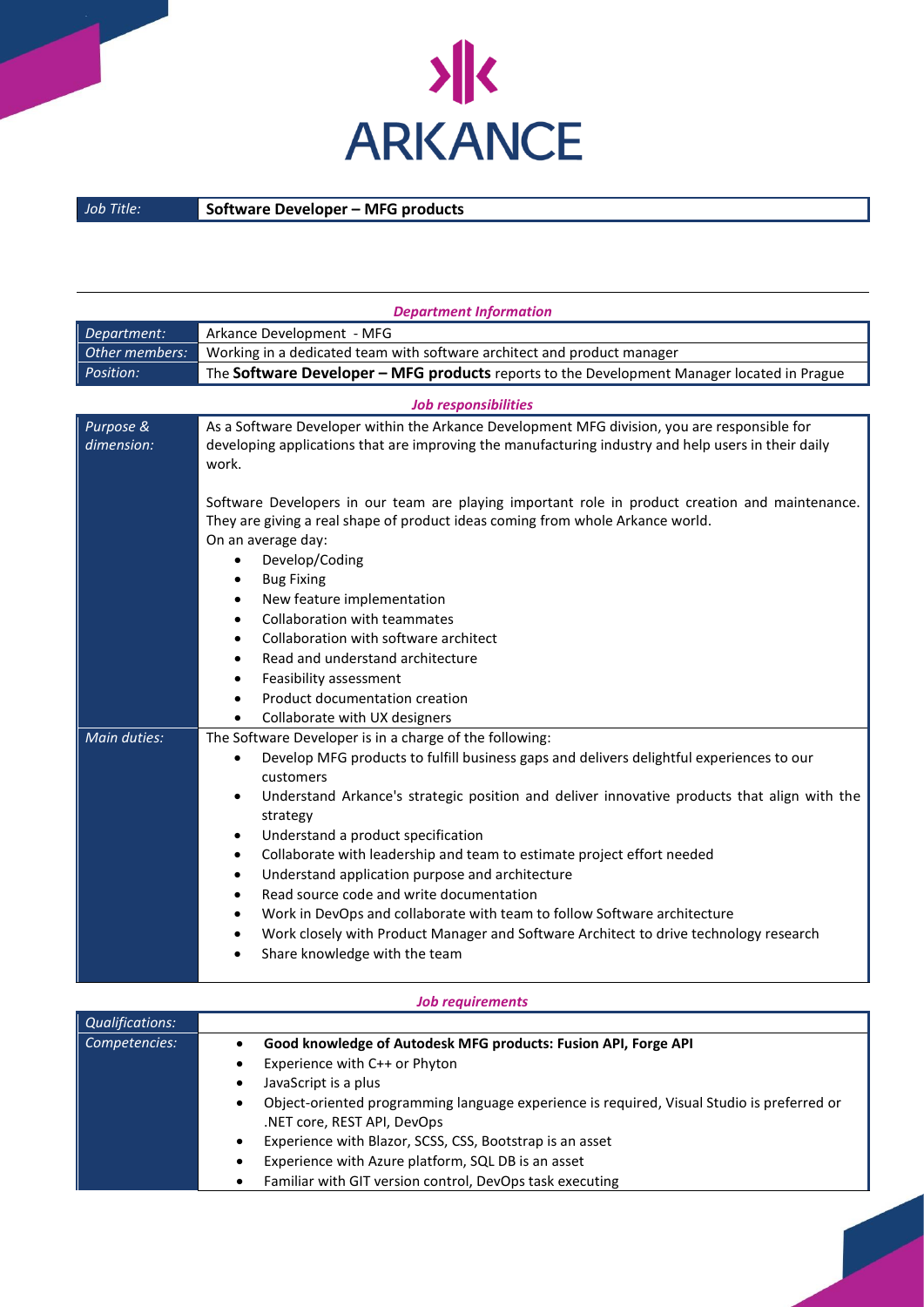

## *Job Title:* **Software Developer – MFG products**

| <b>Department Information</b> |                                                                                                                                                                                                                                                                                                                                                                                                                                                                                                                                                                                                                                                                                                                                                                                |  |
|-------------------------------|--------------------------------------------------------------------------------------------------------------------------------------------------------------------------------------------------------------------------------------------------------------------------------------------------------------------------------------------------------------------------------------------------------------------------------------------------------------------------------------------------------------------------------------------------------------------------------------------------------------------------------------------------------------------------------------------------------------------------------------------------------------------------------|--|
| Department:                   | Arkance Development - MFG                                                                                                                                                                                                                                                                                                                                                                                                                                                                                                                                                                                                                                                                                                                                                      |  |
| Other members:                | Working in a dedicated team with software architect and product manager                                                                                                                                                                                                                                                                                                                                                                                                                                                                                                                                                                                                                                                                                                        |  |
| Position:                     | The Software Developer - MFG products reports to the Development Manager located in Prague                                                                                                                                                                                                                                                                                                                                                                                                                                                                                                                                                                                                                                                                                     |  |
| <b>Job responsibilities</b>   |                                                                                                                                                                                                                                                                                                                                                                                                                                                                                                                                                                                                                                                                                                                                                                                |  |
| Purpose &<br>dimension:       | As a Software Developer within the Arkance Development MFG division, you are responsible for<br>developing applications that are improving the manufacturing industry and help users in their daily<br>work.<br>Software Developers in our team are playing important role in product creation and maintenance.<br>They are giving a real shape of product ideas coming from whole Arkance world.<br>On an average day:                                                                                                                                                                                                                                                                                                                                                        |  |
|                               | Develop/Coding<br>$\bullet$<br><b>Bug Fixing</b><br>$\bullet$<br>New feature implementation<br>٠<br>Collaboration with teammates<br>$\bullet$<br>Collaboration with software architect<br>$\bullet$<br>Read and understand architecture<br>$\bullet$<br>Feasibility assessment<br>$\bullet$<br>Product documentation creation<br>$\bullet$<br>Collaborate with UX designers<br>$\bullet$                                                                                                                                                                                                                                                                                                                                                                                       |  |
| Main duties:                  | The Software Developer is in a charge of the following:<br>Develop MFG products to fulfill business gaps and delivers delightful experiences to our<br>customers<br>Understand Arkance's strategic position and deliver innovative products that align with the<br>strategy<br>Understand a product specification<br>$\bullet$<br>Collaborate with leadership and team to estimate project effort needed<br>$\bullet$<br>Understand application purpose and architecture<br>$\bullet$<br>Read source code and write documentation<br>$\bullet$<br>Work in DevOps and collaborate with team to follow Software architecture<br>$\bullet$<br>Work closely with Product Manager and Software Architect to drive technology research<br>$\bullet$<br>Share knowledge with the team |  |

| <b>Job requirements</b> |                                                                                                                               |
|-------------------------|-------------------------------------------------------------------------------------------------------------------------------|
| <b>Qualifications:</b>  |                                                                                                                               |
| Competencies:           | Good knowledge of Autodesk MFG products: Fusion API, Forge API                                                                |
|                         | Experience with C++ or Phyton                                                                                                 |
|                         | JavaScript is a plus<br>٠                                                                                                     |
|                         | Object-oriented programming language experience is required, Visual Studio is preferred or<br>٠<br>NET core, REST API, DevOps |
|                         | Experience with Blazor, SCSS, CSS, Bootstrap is an asset<br>٠                                                                 |
|                         | Experience with Azure platform, SQL DB is an asset<br>٠                                                                       |
|                         | Familiar with GIT version control, DevOps task executing<br>٠                                                                 |